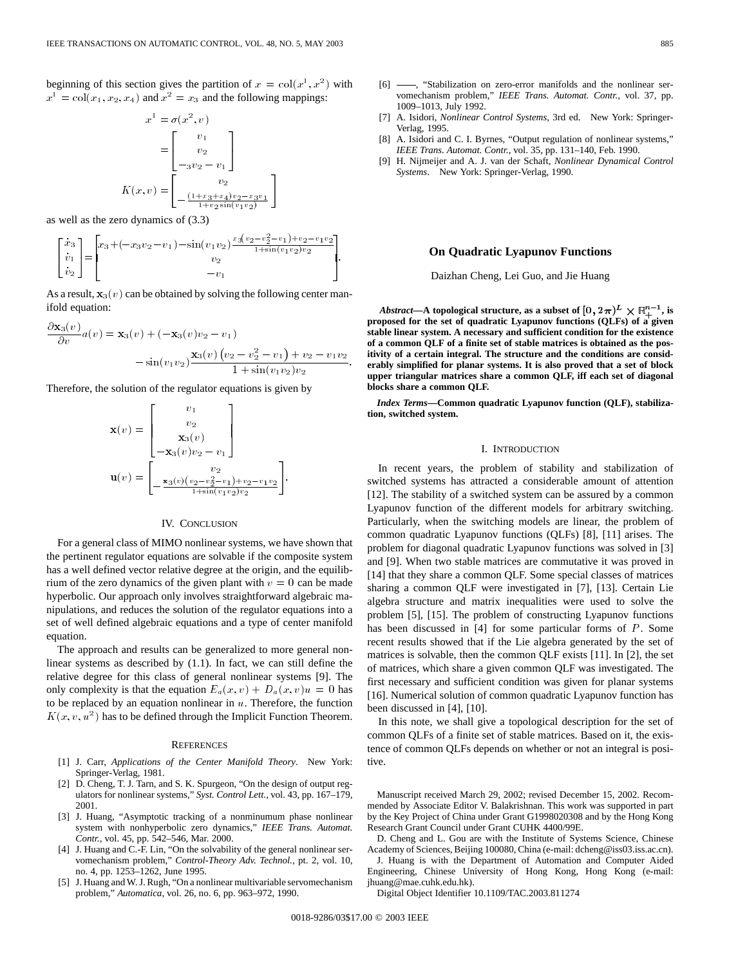beginning of this section gives the partition of  $x = col(x^1, x^2)$  with  $x<sup>1</sup> = col(x<sub>1</sub>, x<sub>2</sub>, x<sub>4</sub>)$  and  $x<sup>2</sup> = x<sub>3</sub>$  and the following mappings:

$$
x^{1} = \sigma(x^{2}, v)
$$
  
= 
$$
\begin{bmatrix} v_{1} \\ v_{2} \\ -3v_{2} - v_{1} \end{bmatrix}
$$
  

$$
K(x, v) = \begin{bmatrix} v_{2} \\ v_{2} \\ -\frac{(1 + x_{3} + x_{4})v_{2} - x_{3}v_{1}}{1 + v_{2} \sin(v_{1}v_{2})} \end{bmatrix}
$$
  
ne zero dynamics of (3.3)  

$$
x_{3} + (-x_{3}v_{2} - v_{1}) - \sin(v_{1}v_{2}) \frac{x_{3}(v_{2} - v_{2}^{2} - v_{1})}{1 + \sin(v_{1}v_{2})}
$$

as well as the zero dynamics of (3.3)

s well as the zero dynamics of (3.3)  
\n
$$
\begin{bmatrix} \dot{x}_3 \\ \dot{v}_1 \\ \dot{v}_2 \end{bmatrix} = \begin{bmatrix} x_3 + (-x_3v_2 - v_1) - \sin(v_1v_2) \frac{x_3(v_2 - v_2^2 - v_1) + v_2 - v_1v_2}{1 + \sin(v_1v_2)v_2} \\ v_2 \\ -v_1 \end{bmatrix}.
$$

ifold equation:

As a result, 
$$
\mathbf{x}_3(v)
$$
 can be obtained by solving the following center man-  
ifold equation:  

$$
\frac{\partial \mathbf{x}_3(v)}{\partial v} a(v) = \mathbf{x}_3(v) + (-\mathbf{x}_3(v)v_2 - v_1)
$$

$$
- \sin(v_1v_2) \frac{\mathbf{x}_3(v) (v_2 - v_2^2 - v_1) + v_2 - v_1v_2}{1 + \sin(v_1v_2)v_2}.
$$

Therefore, the solution of the regulator equations is given by

$$
\mathbf{x}(v) = \begin{bmatrix} v_1 \\ v_2 \\ \mathbf{x}_3(v) \\ -\mathbf{x}_3(v)v_2 - v_1 \end{bmatrix}
$$

$$
\mathbf{u}(v) = \begin{bmatrix} v_2 \\ -\frac{\mathbf{x}_3(v)(v_2 - v_2^2 - v_1) + v_2 - v_1v_2}{1 + \sin(v_1v_2)v_2} \end{bmatrix}
$$

:

## IV. CONCLUSION

For a general class of MIMO nonlinear systems, we have shown that the pertinent regulator equations are solvable if the composite system has a well defined vector relative degree at the origin, and the equilibrium of the zero dynamics of the given plant with  $v = 0$  can be made hyperbolic. Our approach only involves straightforward algebraic manipulations, and reduces the solution of the regulator equations into a set of well defined algebraic equations and a type of center manifold equation.

The approach and results can be generalized to more general nonlinear systems as described by (1.1). In fact, we can still define the relative degree for this class of general nonlinear systems [9]. The only complexity is that the equation  $E_a(x, v) + D_a(x, v)u = 0$  has to be replaced by an equation nonlinear in  $u$ . Therefore, the function  $K(x, v, u^2)$  has to be defined through the Implicit Function Theorem.

#### **REFERENCES**

- [1] J. Carr, *Applications of the Center Manifold Theory*. New York: Springer-Verlag, 1981.
- [2] D. Cheng, T. J. Tarn, and S. K. Spurgeon, "On the design of output regulators for nonlinear systems," *Syst. Control Lett.*, vol. 43, pp. 167–179, 2001.
- [3] J. Huang, "Asymptotic tracking of a nonminumum phase nonlinear system with nonhyperbolic zero dynamics," *IEEE Trans. Automat. Contr.*, vol. 45, pp. 542–546, Mar. 2000.
- [4] J. Huang and C.-F. Lin, "On the solvability of the general nonlinear servomechanism problem," *Control-Theory Adv. Technol.*, pt. 2, vol. 10, no. 4, pp. 1253–1262, June 1995.
- [5] J. Huang and W. J. Rugh, "On a nonlinear multivariable servomechanism problem," *Automatica*, vol. 26, no. 6, pp. 963–972, 1990.
- [6]  $\rightarrow$  "Stabilization on zero-error manifolds and the nonlinear servomechanism problem," *IEEE Trans. Automat. Contr.*, vol. 37, pp. 1009–1013, July 1992.
- [7] A. Isidori, *Nonlinear Control Systems*, 3rd ed. New York: Springer-Verlag, 1995.
- [8] A. Isidori and C. I. Byrnes, "Output regulation of nonlinear systems," *IEEE Trans. Automat. Contr.*, vol. 35, pp. 131–140, Feb. 1990.
- [9] H. Nijmeijer and A. J. van der Schaft, *Nonlinear Dynamical Control Systems*. New York: Springer-Verlag, 1990.

# **On Quadratic Lyapunov Functions**

Daizhan Cheng, Lei Guo, and Jie Huang

*Abstract*—A topological structure, as a subset of  $[0, 2\pi)^L \times \mathbb{R}^{n-1}_+$ , is **proposed for the set of quadratic Lyapunov functions (QLFs) of a given stable linear system. A necessary and sufficient condition for the existence of a common QLF of a finite set of stable matrices is obtained as the positivity of a certain integral. The structure and the conditions are considerably simplified for planar systems. It is also proved that a set of block upper triangular matrices share a common QLF, iff each set of diagonal blocks share a common QLF.**

*Index Terms—***Common quadratic Lyapunov function (QLF), stabilization, switched system.**

### I. INTRODUCTION

In recent years, the problem of stability and stabilization of switched systems has attracted a considerable amount of attention [12]. The stability of a switched system can be assured by a common Lyapunov function of the different models for arbitrary switching. Particularly, when the switching models are linear, the problem of common quadratic Lyapunov functions (QLFs) [8], [11] arises. The problem for diagonal quadratic Lyapunov functions was solved in [3] and [9]. When two stable matrices are commutative it was proved in [14] that they share a common QLF. Some special classes of matrices sharing a common QLF were investigated in [7], [13]. Certain Lie algebra structure and matrix inequalities were used to solve the problem [5], [15]. The problem of constructing Lyapunov functions has been discussed in [4] for some particular forms of P. Some recent results showed that if the Lie algebra generated by the set of matrices is solvable, then the common QLF exists [11]. In [2], the set of matrices, which share a given common QLF was investigated. The first necessary and sufficient condition was given for planar systems [16]. Numerical solution of common quadratic Lyapunov function has been discussed in [4], [10].

In this note, we shall give a topological description for the set of common QLFs of a finite set of stable matrices. Based on it, the existence of common QLFs depends on whether or not an integral is positive.

Manuscript received March 29, 2002; revised December 15, 2002. Recommended by Associate Editor V. Balakrishnan. This work was supported in part by the Key Project of China under Grant G1998020308 and by the Hong Kong Research Grant Council under Grant CUHK 4400/99E.

D. Cheng and L. Gou are with the Institute of Systems Science, Chinese Academy of Sciences, Beijing 100080, China (e-mail: dcheng@iss03.iss.ac.cn).

J. Huang is with the Department of Automation and Computer Aided Engineering, Chinese University of Hong Kong, Hong Kong (e-mail: jhuang@mae.cuhk.edu.hk).

Digital Object Identifier 10.1109/TAC.2003.811274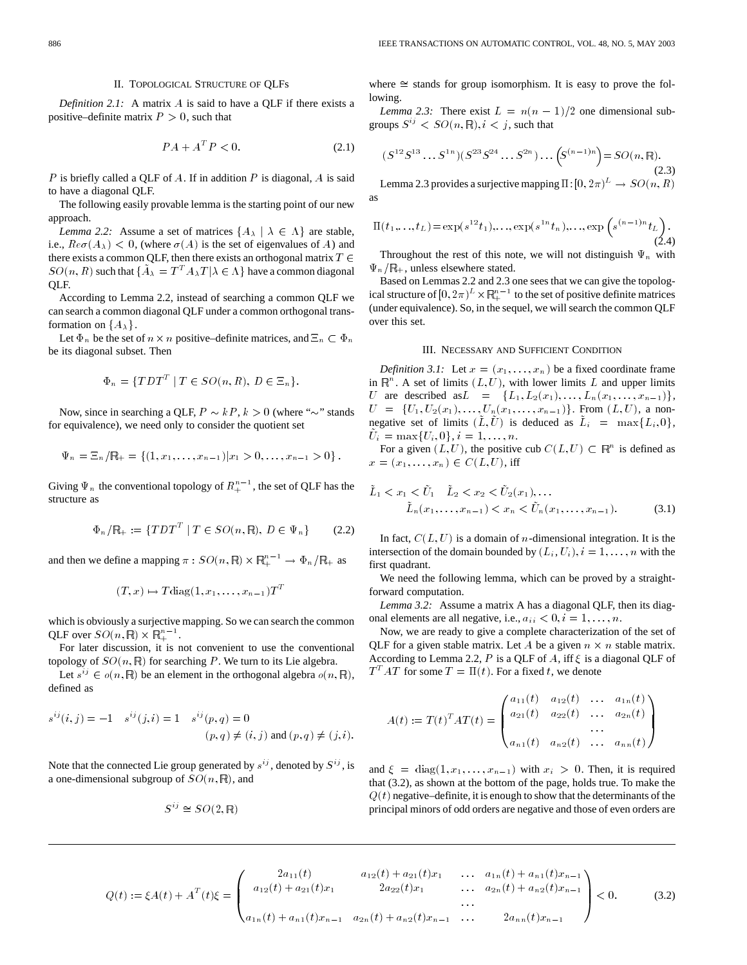#### II. TOPOLOGICAL STRUCTURE OF QLFs

*Definition 2.1:* A matrix A is said to have a QLF if there exists a positive–definite matrix  $P > 0$ , such that

$$
PA + AT P < 0. \tag{2.1}
$$

P is briefly called a QLF of A. If in addition P is diagonal, A is said to have a diagonal QLF.

The following easily provable lemma is the starting point of our new approach.

*Lemma 2.2:* Assume a set of matrices  $\{A_{\lambda} | \lambda \in \Lambda\}$  are stable, i.e.,  $\text{Re}\,\sigma(A_{\lambda})$  < 0, (where  $\sigma(A)$  is the set of eigenvalues of A) and there exists a common QLF, then there exists an orthogonal matrix  $T \in$  $SO(n, R)$  such that  $\{\tilde{A}_{\lambda} = T^{T} A_{\lambda} T | \lambda \in \Lambda\}$  have a common diagonal QLF.

According to Lemma 2.2, instead of searching a common QLF we can search a common diagonal QLF under a common orthogonal transformation on  $\{A_{\lambda}\}.$ 

Let  $\Phi_n$  be the set of  $n \times n$  positive–definite matrices, and  $\Xi_n \subset \Phi_n$ be its diagonal subset. Then

$$
\Phi_n = \{TDT^T \mid T \in SO(n, R), D \in \Xi_n\}.
$$

Now, since in searching a QLF,  $P \sim kP$ ,  $k > 0$  (where " $\sim$ " stands

for equivalence), we need only to consider the quotient set  
\n
$$
\Psi_n = \Xi_n / \mathbb{R}_+ = \{(1, x_1, \dots, x_{n-1}) | x_1 > 0, \dots, x_{n-1} > 0 \}.
$$

 $\Psi_n = \Xi_n / \mathbb{R}_+ = \{(1, x_1, \dots, x_{n-1}) | x_1 > 0, \dots, x_{n-1} > 0 \}$ .<br>Giving  $\Psi_n$  the conventional topology of  $R_+^{n-1}$ , the set of QLF has the structure as

$$
\Phi_n / \mathbb{R}_+ := \{ T D T^T \mid T \in SO(n, \mathbb{R}), D \in \Psi_n \} \qquad (2.2)
$$

 $\Phi_n / \mathbb{R}_+ := \{ T D T^T \mid T \in SO(n, \mathbb{R}), D \in \Psi_n \}$  (2.:<br>
and then we define a mapping  $\pi : SO(n, \mathbb{R}) \times \mathbb{R}^{n-1}_+ \to \Phi_n / \mathbb{R}_+$  as<br>  $(T, x) \mapsto T \text{diag}(1, x_1, \dots, x_{n-1}) T^T$ 

$$
(T, x) \mapsto T \operatorname{diag}(1, x_1, \ldots, x_{n-1}) T^T
$$

which is obviously a surjective mapping. So we can search the common QLF over  $SO(n,\mathbb{R}) \times \mathbb{R}^{n-1}_+$ . urjective<br>× R<sup>n-1</sup>

For later discussion, it is not convenient to use the conventional topology of  $SO(n, \mathbb{R})$  for searching P. We turn to its Lie algebra.

Let  $s^{ij} \in o(n, \mathbb{R})$  be an element in the orthogonal algebra  $o(n, \mathbb{R})$ , defined as

$$
s^{ij}(i,j) = -1 \quad s^{ij}(j,i) = 1 \quad s^{ij}(p,q) = 0
$$
  
(*p, q*)  $\neq$  (*i,j*) and (*p, q*)  $\neq$  (*j, i*).

Note that the connected Lie group generated by  $s^{ij}$ , denoted by  $S^{ij}$ , is a one-dimensional subgroup of  $SO(n, \mathbb{R})$ , and

$$
S^{ij} \cong SO(2, \mathbb{R})
$$

where  $\cong$  stands for group isomorphism. It is easy to prove the following.

*Lemma 2.3:* There exist  $L = n(n - 1)/2$  one dimensional sub-

groups 
$$
S^{ij} < SO(n, \mathbb{R}), i < j
$$
, such that  
\n $(S^{12}S^{13} \dots S^{1n})(S^{23}S^{24} \dots S^{2n}) \dots (S^{(n-1)n}) = SO(n, \mathbb{R}).$ \n(2.3)

Lemma 2.3 provides a surjective mapping  $\Pi: [0,2\pi)^L \to SO(n,R)$ as

s  
\n
$$
\Pi(t_1,...,t_L) = \exp(s^{12}t_1),..., \exp(s^{1n}t_n),..., \exp(s^{(n-1)n}t_L).
$$
\n(2.4)

Throughout the rest of this note, we will not distinguish  $\Psi_n$  with

 $\Psi_n / \mathbb{R}_+$ , unless elsewhere stated.<br>Based on Lemmas 2.2 and 2.3 c<br>ical structure of  $[0, 2\pi)^L \times \mathbb{R}^{n-1}$ Based on Lemmas 2.2 and 2.3 one sees that we can give the topological structure of  $[0, 2\pi)^L \times \mathbb{R}^{n-1}_+$  to the set of positive definite matrices (under equivalence). So, in the sequel, we will search the common QLF over this set.

## III. NECESSARY AND SUFFICIENT CONDITION

*Definition 3.1:* Let  $x = (x_1, \ldots, x_n)$  be a fixed coordinate frame in  $\mathbb{R}^n$ . A set of limits  $(L, U)$ , with lower limits L and upper limits Definition 3.1: Let  $x = (x_1, ..., x_n)$  be a fixed coordinate frame<br>in  $\mathbb{R}^n$ . A set of limits  $(L, U)$ , with lower limits  $L$  and upper limits<br>U are described as  $L = \{L_1, L_2(x_1), ..., L_n(x_1, ..., x_{n-1})\}$ , in  $\mathbb{R}^n$ . A set of limits  $(L, U)$ , with lower limits  $L$  and upper limits  $U$  are described as  $L = \{L_1, L_2(x_1), \ldots, L_n(x_1, \ldots, x_{n-1})\}$ ,  $U = \{U_1, U_2(x_1), \ldots, U_n(x_1, \ldots, x_{n-1})\}$ . From  $(L, U)$ , a non- $U = \{U_1, U_2(x_1), \ldots, U_n(x_1, \ldots, x_{n-1})\}$ . From  $(L, U)$ , a non-<br>negative set of limits  $(\tilde{L}, \tilde{U})$  is deduced as  $\tilde{L}_i = \max\{L_i, 0\}$ ,  $U_i = \max\{U_i, 0\}, i = 1, \ldots, n.$ 

For a given  $(L, U)$ , the positive cub  $C(L, U) \subset \mathbb{R}^n$  is defined as  $x = (x_1, \ldots, x_n) \in C(L, U)$ , iff

$$
\tilde{L}_1 < x_1 < \tilde{U}_1 \quad \tilde{L}_2 < x_2 < \tilde{U}_2(x_1), \dots \\
\tilde{L}_n(x_1, \dots, x_{n-1}) < x_n < \tilde{U}_n(x_1, \dots, x_{n-1}).\n\tag{3.1}
$$

In fact,  $C(L, U)$  is a domain of *n*-dimensional integration. It is the intersection of the domain bounded by  $(L_i, U_i)$ ,  $i = 1, \ldots, n$  with the first quadrant.

We need the following lemma, which can be proved by a straightforward computation.

*Lemma 3.2:* Assume a matrix A has a diagonal QLF, then its diagonal elements are all negative, i.e.,  $a_{ii} < 0, i = 1, \ldots, n$ .

Now, we are ready to give a complete characterization of the set of QLF for a given stable matrix. Let A be a given  $n \times n$  stable matrix. According to Lemma 2.2, P is a QLF of A, iff  $\xi$  is a diagonal QLF of  $T<sup>T</sup> AT$  for some  $T = \Pi(t)$ . For a fixed t, we denote

$$
A(t) := T(t)^T A T(t) = \begin{pmatrix} a_{11}(t) & a_{12}(t) & \dots & a_{1n}(t) \\ a_{21}(t) & a_{22}(t) & \dots & a_{2n}(t) \\ \dots & \dots & \dots & \dots \\ a_{n1}(t) & a_{n2}(t) & \dots & a_{nn}(t) \end{pmatrix}
$$

and  $\xi = \text{diag}(1, x_1, \dots, x_{n-1})$  with  $x_i > 0$ . Then, it is required that (3.2), as shown at the bottom of the page, holds true. To make the  $Q(t)$  negative–definite, it is enough to show that the determinants of the principal minors of odd orders are negative and those of even orders are

$$
Q(t) := \xi A(t) + A^T(t)\xi = \begin{pmatrix} 2a_{11}(t) & a_{12}(t) + a_{21}(t)x_1 & \dots & a_{1n}(t) + a_{n1}(t)x_{n-1} \\ a_{12}(t) + a_{21}(t)x_1 & 2a_{22}(t)x_1 & \dots & a_{2n}(t) + a_{n2}(t)x_{n-1} \\ \dots & \dots & \dots & \dots \\ a_{1n}(t) + a_{n1}(t)x_{n-1} & a_{2n}(t) + a_{n2}(t)x_{n-1} & \dots & 2a_{nn}(t)x_{n-1} \end{pmatrix} < 0.
$$
 (3.2)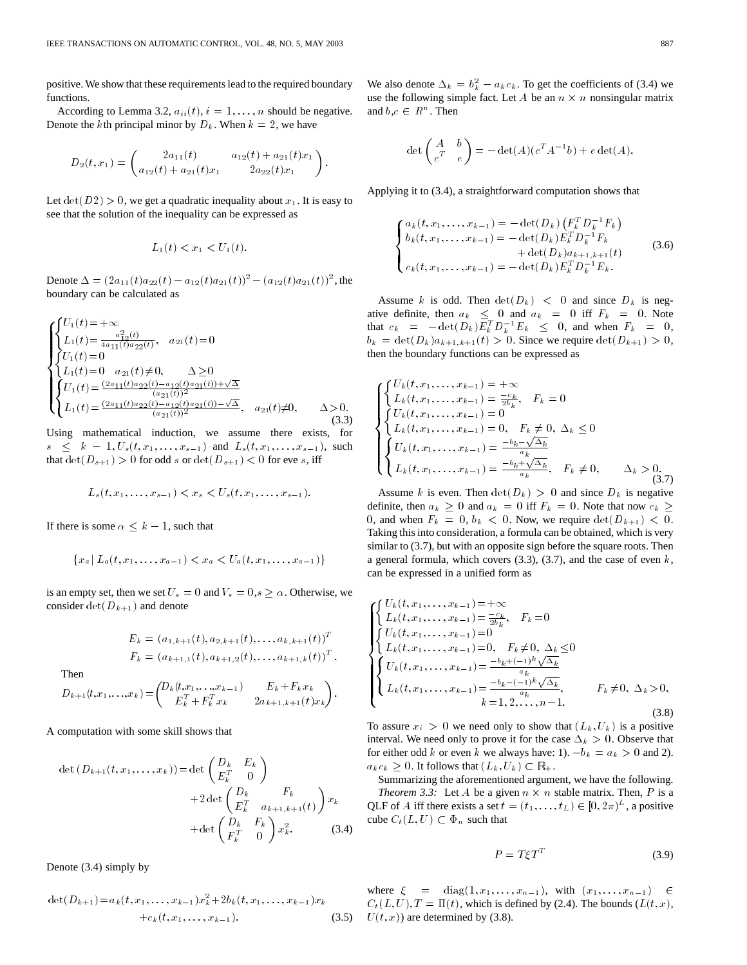positive. We show that these requirements lead to the required boundary functions.

According to Lemma 3.2,  $a_{ii}(t)$ ,  $i = 1, \ldots, n$  should be negative. Denote the kth principal minor by  $D_k$ . When  $k = 2$ , we have

$$
D_2(t,x_1)=\begin{pmatrix} 2a_{11}(t) & a_{12}(t)+a_{21}(t)x_1 \ a_{12}(t)+a_{21}(t)x_1 & 2a_{22}(t)x_1 \end{pmatrix}.
$$

Let  $\det(D2) > 0$ , we get a quadratic inequality about  $x_1$ . It is easy to see that the solution of the inequality can be expressed as

$$
L_1(t) < x_1 < U_1(t).
$$

 $L_1(t) < x_1 < U_1(t)$ .<br>Denote  $\Delta = (2a_{11}(t)a_{22}(t) - a_{12}(t)a_{21}(t))^2 - (a_{12}(t)a_{21}(t))^2$ , the boundary can be calculated as

$$
\begin{cases}\nU_1(t) = +\infty \\
L_1(t) = \frac{a_{12}^2(t)}{4a_{11}(t)a_{22}(t)}, & a_{21}(t) = 0 \\
U_1(t) = 0 & a_{21}(t) \neq 0, \quad \Delta \geq 0 \\
L_1(t) = 0 & a_{21}(t) \neq 0, \quad \Delta \geq 0 \\
U_1(t) = \frac{(2a_{11}(t)a_{22}(t) - a_{12}(t)a_{21}(t)) + \sqrt{\Delta}}{(a_{21}(t))^2} \\
L_1(t) = \frac{(2a_{11}(t)a_{22}(t) - a_{12}(t)a_{21}(t)) - \sqrt{\Delta}}{(a_{21}(t))^2}, & a_{21}(t) \neq 0, \quad \Delta > 0.\n\end{cases}
$$
\n(3.3)

Using mathematical induction, we assume there exists, for  $s \leq k - 1, U_s(t, x_1, \ldots, x_{s-1})$  and  $L_s(t, x_1, \ldots, x_{s-1})$ , such that  $\det(D_{s+1}) > 0$  for odd s or  $\det(D_{s+1}) < 0$  for eve s, iff

$$
L_s(t, x_1, \ldots, x_{s-1}) < x_s < U_s(t, x_1, \ldots, x_{s-1}).
$$

If there is some  $\alpha \leq k - 1$ , such that

$$
\{x_a \mid L_a(t, x_1, \ldots, x_{a-1}) < x_a < U_a(t, x_1, \ldots, x_{a-1})\}
$$

is an empty set, then we set  $U_s = 0$  and  $V_s = 0, s \ge \alpha$ . Otherwise, we consider  $\det(D_{k+1})$  and denote

$$
E_k = (a_{1,k+1}(t), a_{2,k+1}(t), \dots, a_{k,k+1}(t))^T
$$
  

$$
F_k = (a_{k+1,1}(t), a_{k+1,2}(t), \dots, a_{k+1,k}(t))^T.
$$

Then

$$
D_{k+1}(t, x_1, \ldots, x_k) = \begin{pmatrix} D_k(t, x_1, \ldots, x_{k-1}) & E_k + F_k x_k \\ E_k^T + F_k^T x_k & 2 a_{k+1,k+1}(t) x_k \end{pmatrix}.
$$

A computation with some skill shows that

$$
\det (D_{k+1}(t, x_1, \dots, x_k)) = \det \begin{pmatrix} D_k & E_k \\ E_k^T & 0 \end{pmatrix}
$$
\n
$$
+ 2 \det \begin{pmatrix} D_k & F_k \\ E_k^T & a_{k+1, k+1}(t) \end{pmatrix} x_k
$$
\n
$$
+ \det \begin{pmatrix} D_k & F_k \\ F_k^T & 0 \end{pmatrix} x_k^2. \tag{3.4}
$$

Denote (3.4) simply by

$$
\det(D_{k+1}) = a_k(t, x_1, \dots, x_{k-1}) x_k^2 + 2b_k(t, x_1, \dots, x_{k-1}) x_k
$$
  
+  $c_k(t, x_1, \dots, x_{k-1}).$  (3.5)

We also denote  $\Delta_k = b_k^2 - a_k c_k$ . To get the coefficients of (3.4) we use the following simple fact. Let A be an  $n \times n$  nonsingular matrix and  $b, c \in \mathbb{R}^n$ . Then

$$
\det\begin{pmatrix} A & b \\ c^T & e \end{pmatrix} = -\det(A)(c^T A^{-1}b) + e \det(A).
$$

Applying it to (3.4), a straightforward computation shows that

$$
\begin{cases}\na_k(t, x_1, \dots, x_{k-1}) = -\det(D_k) \left( F_k^T D_k^{-1} F_k \right) \\
b_k(t, x_1, \dots, x_{k-1}) = -\det(D_k) E_k^T D_k^{-1} F_k \\
\quad + \det(D_k) a_{k+1, k+1}(t) \\
c_k(t, x_1, \dots, x_{k-1}) = -\det(D_k) E_k^T D_k^{-1} E_k.\n\end{cases} \tag{3.6}
$$

Assume k is odd. Then  $\det(D_k) < 0$  and since  $D_k$  is negative definite, then  $a_k \leq 0$  and  $a_k = 0$  iff  $F_k = 0$ . Note that  $c_k = -\det(D_k) E_k^T D_k^{-1} E_k \leq 0$ , and when  $F_k = 0$ ,  $b_k = \det(D_k) a_{k+1,k+1}(t) > 0$ . Since we require  $\det(D_{k+1}) > 0$ , then the boundary functions can be expressed as

$$
\begin{cases}\nU_k(t, x_1, \dots, x_{k-1}) = +\infty \\
L_k(t, x_1, \dots, x_{k-1}) = \frac{-c_k}{2b_k}, \quad F_k = 0 \\
U_k(t, x_1, \dots, x_{k-1}) = 0 \\
L_k(t, x_1, \dots, x_{k-1}) = 0, \quad F_k \neq 0, \ \Delta_k \leq 0 \\
U_k(t, x_1, \dots, x_{k-1}) = \frac{-b_k - \sqrt{\Delta_k}}{a_k} \\
L_k(t, x_1, \dots, x_{k-1}) = \frac{-b_k + \sqrt{\Delta_k}}{a_k}, \quad F_k \neq 0, \qquad \Delta_k > 0, \tag{3.7}\n\end{cases}
$$

Assume k is even. Then  $\det(D_k) > 0$  and since  $D_k$  is negative definite, then  $a_k \ge 0$  and  $a_k = 0$  iff  $F_k = 0$ . Note that now  $c_k \ge$ 0, and when  $F_k = 0$ ,  $b_k < 0$ . Now, we require  $\det(D_{k+1}) < 0$ . Taking this into consideration, a formula can be obtained, which is very similar to (3.7), but with an opposite sign before the square roots. Then a general formula, which covers  $(3.3)$ ,  $(3.7)$ , and the case of even k, can be expressed in a unified form as

$$
\begin{cases}\nU_k(t, x_1, \dots, x_{k-1}) = +\infty \\
L_k(t, x_1, \dots, x_{k-1}) = \frac{-c_k}{2b_k}, & F_k = 0 \\
U_k(t, x_1, \dots, x_{k-1}) = 0 \\
L_k(t, x_1, \dots, x_{k-1}) = 0, & F_k \neq 0, \Delta_k \le 0 \\
U_k(t, x_1, \dots, x_{k-1}) = \frac{-b_k + (-1)^k \sqrt{\Delta_k}}{a_k} \\
L_k(t, x_1, \dots, x_{k-1}) = \frac{-b_k - (-1)^k \sqrt{\Delta_k}}{a_k}, & F_k \neq 0, \Delta_k > 0, \\
k = 1, 2, \dots, n-1.\n\end{cases}
$$
\n(3.8)

To assure  $x_i > 0$  we need only to show that  $(L_k, U_k)$  is a positive interval. We need only to prove it for the case  $\Delta_k > 0$ . Observe that for either odd k or even k we always have: 1).  $-b_k = a_k > 0$  and 2).  $a_k c_k \geq 0$ . It follows that  $(L_k, U_k) \subset \mathbb{R}_+$ .

Summarizing the aforementioned argument, we have the following. *Theorem 3.3:* Let A be a given  $n \times n$  stable matrix. Then, P is a QLF of A iff there exists a set  $t = (t_1, \ldots, t_L) \in [0, 2\pi)^L$ , a positive cube  $C_t(L, U) \subset \Phi_n$  such that

$$
P = T\xi T^T \tag{3.9}
$$

where  $\xi = \text{diag}(1, x_1, \ldots, x_{n-1}), \text{ with } (x_1, \ldots, x_{n-1}) \in$  $C_t(L, U), T = \Pi(t)$ , which is defined by (2.4). The bounds ( $L(t, x)$ ,  $U(t, x)$  are determined by (3.8).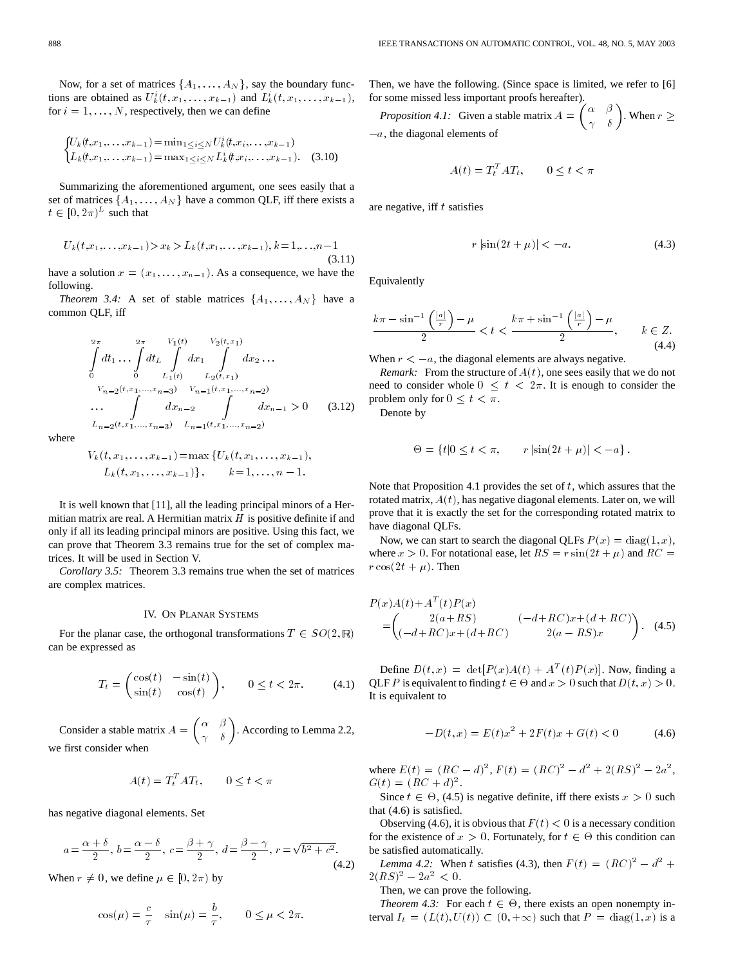Now, for a set of matrices  $\{A_1, \ldots, A_N\}$ , say the boundary functions are obtained as  $U_k^i(t, x_1, \ldots, x_{k-1})$  and  $L_k^i(t, x_1, \ldots, x_{k-1})$ , Frices  $\{A_1, \ldots, A_N\}$ , say the boundary func-<br>  $\kappa_k^i(t, x_1, \ldots, x_{k-1})$  and  $L_k^i(t, x_1, \ldots, x_{k-1})$ ,

for 
$$
i = 1, ..., N
$$
, respectively, then we can define  
\n
$$
\begin{cases}\nU_k(t, x_1, ..., x_{k-1}) = \min_{1 \le i \le N} U_k^i(t, x_i, ..., x_{k-1}) \\
L_k(t, x_1, ..., x_{k-1}) = \max_{1 \le i \le N} L_k^i(t, x_i, ..., x_{k-1}).\n\end{cases}
$$
\n(3.10)

Summarizing the aforementioned argument, one sees easily that a set of matrices  $\{A_1, \ldots, A_N\}$  have a common QLF, iff there exists a  $t \in [0, 2\pi)^L$  such that

$$
U_k(t, x_1, \dots, x_{k-1}) > x_k > L_k(t, x_1, \dots, x_{k-1}), k = 1, \dots, n-1 \tag{3.11}
$$

have a solution  $x = (x_1, \ldots, x_{n-1})$ . As a consequence, we have the following.

*Theorem 3.4:* A set of stable matrices  $\{A_1, \ldots, A_N\}$  have a common QLF, iff

$$
\int_{0}^{2\pi} dt_1 \dots \int_{0}^{2\pi} dt_L \int_{L_1(t)}^{V_1(t)} dx_1 \int_{L_2(t,x_1)}^{V_2(t,x_1)} dx_2 \dots
$$
\n
$$
V_{n-2}(t,x_1,\dots,x_{n-3}) \quad V_{n-1}(t,x_1,\dots,x_{n-2})
$$
\n
$$
\dots \int_{L_{n-2}(t,x_1,\dots,x_{n-3})}^{L_{n-2}(t,x_1,\dots,x_{n-2})} dx_{n-1} > 0 \quad (3.12)
$$

where

$$
V_k(t, x_1, \ldots, x_{k-1}) = \max \{ U_k(t, x_1, \ldots, x_{k-1}),
$$
  

$$
L_k(t, x_1, \ldots, x_{k-1}) \}, \qquad k = 1, \ldots, n-1.
$$

It is well known that [11], all the leading principal minors of a Hermitian matrix are real. A Hermitian matrix  $H$  is positive definite if and only if all its leading principal minors are positive. Using this fact, we can prove that Theorem 3.3 remains true for the set of complex matrices. It will be used in Section V.

*Corollary 3.5:* Theorem 3.3 remains true when the set of matrices are complex matrices.

#### IV. ON PLANAR SYSTEMS

For the planar case, the orthogonal transformations  $T \in SO(2, \mathbb{R})$ can be expressed as

$$
T_t = \begin{pmatrix} \cos(t) & -\sin(t) \\ \sin(t) & \cos(t) \end{pmatrix}, \qquad 0 \le t < 2\pi.
$$
 (4.1)

Consider a stable matrix  $A = \begin{pmatrix} \alpha & \beta \\ \gamma & \delta \end{pmatrix}$ . According to Lemma 2.2, we first consider when

$$
A(t) = T_t^T A T_t, \qquad 0 \le t < \pi
$$

has negative diagonal elements. Set

$$
a = \frac{\alpha + \delta}{2}
$$
,  $b = \frac{\alpha - \delta}{2}$ ,  $c = \frac{\beta + \gamma}{2}$ ,  $d = \frac{\beta - \gamma}{2}$ ,  $r = \sqrt{b^2 + c^2}$ . (4.2)

When  $r \neq 0$ , we define  $\mu \in [0, 2\pi)$  by

$$
\cos(\mu) = \frac{c}{\tau} \quad \sin(\mu) = \frac{b}{\tau}, \qquad 0 \le \mu < 2\pi.
$$

Then, we have the following. (Since space is limited, we refer to [6] for some missed less important proofs hereafter).

*Proposition 4.1:* Given a stable matrix  $A = \begin{pmatrix} \alpha & \beta \\ \gamma & \delta \end{pmatrix}$ . When  $r \geq$  $-a$ , the diagonal elements of

$$
A(t) = T_t^T A T_t, \qquad 0 \le t < \pi
$$

are negative, iff  $t$  satisfies

$$
r\left|\sin(2t+\mu)\right| < -a.\tag{4.3}
$$

Equivalently

$$
\frac{k\pi - \sin^{-1}\left(\frac{|a|}{r}\right) - \mu}{2} < t < \frac{k\pi + \sin^{-1}\left(\frac{|a|}{r}\right) - \mu}{2}, \qquad k \in \mathbb{Z}.\tag{4.4}
$$

When  $r < -a$ , the diagonal elements are always negative.

*Remark:* From the structure of  $A(t)$ , one sees easily that we do not need to consider whole  $0 \leq t < 2\pi$ . It is enough to consider the problem only for  $0 \leq t < \pi$ .

Denote by

$$
\Theta = \{ t | 0 \le t < \pi, \qquad r | \sin(2t + \mu) | < -a \} \, .
$$

Note that Proposition 4.1 provides the set of  $t$ , which assures that the rotated matrix,  $A(t)$ , has negative diagonal elements. Later on, we will prove that it is exactly the set for the corresponding rotated matrix to have diagonal QLFs.

Now, we can start to search the diagonal QLFs  $P(x) = \text{diag}(1, x)$ , where  $x > 0$ . For notational ease, let  $RS = r \sin(2t + \mu)$  and  $RC =$  $r \cos(2t + \mu)$ . Then

$$
P(x)A(t) + AT(t)P(x)
$$
  
=  $\begin{pmatrix} 2(a+RS) & (-d+RC)x+(d+RC) \\ (-d+RC)x+(d+RC) & 2(a-RS)x \end{pmatrix}$ . (4.5)

Define  $D(t, x) = det[P(x)A(t) + A^T(t)P(x)]$ . Now, finding a QLF P is equivalent to finding  $t \in \Theta$  and  $x > 0$  such that  $D(t, x) > 0$ . It is equivalent to

$$
-D(t,x) = E(t)x^{2} + 2F(t)x + G(t) < 0
$$
\n(4.6)

where  $E(t) = (RC - d)^2$ ,  $F(t) = (RC)^2 - d^2 + 2(RS)^2 - 2a^2$ ,  $G(t) = (RC + d)^2$ .

Since  $t \in \Theta$ , (4.5) is negative definite, iff there exists  $x > 0$  such that (4.6) is satisfied.

Observing (4.6), it is obvious that  $F(t) < 0$  is a necessary condition for the existence of  $x > 0$ . Fortunately, for  $t \in \Theta$  this condition can be satisfied automatically.

*Lemma 4.2:* When t satisfies (4.3), then  $F(t) = (RC)^2 - d^2 +$  $2(RS)^2 - 2a^2 < 0.$ 

Then, we can prove the following.

*Theorem 4.3:* For each  $t \in \Theta$ , there exists an open nonempty interval  $I_t = (L(t), U(t)) \subset (0, +\infty)$  such that  $P = diag(1, x)$  is a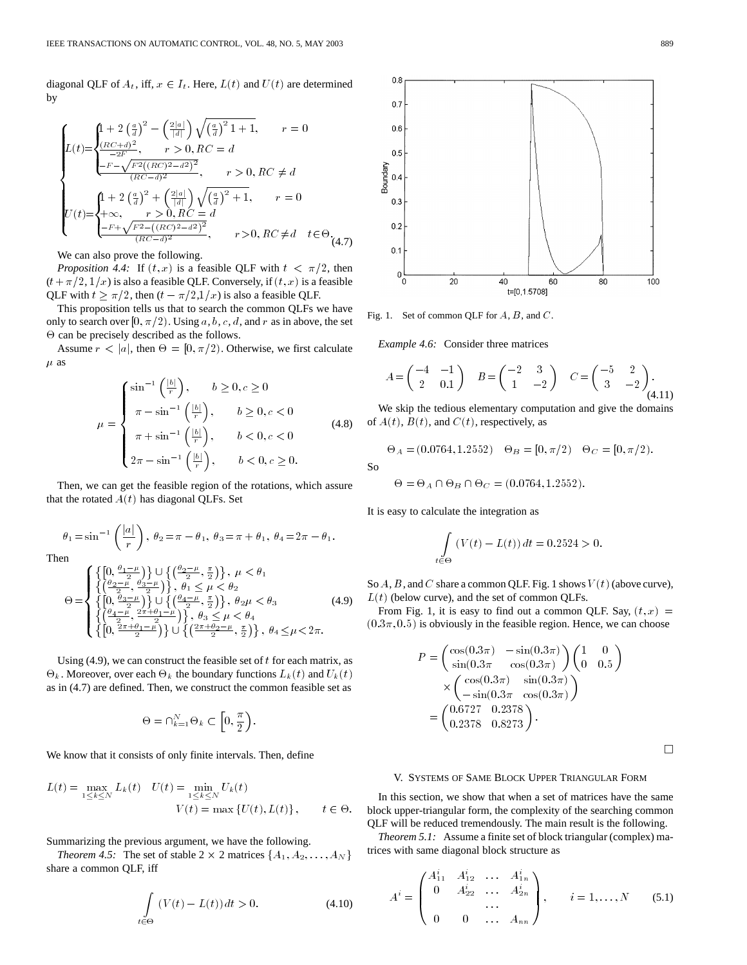diagonal QLF of  $A_t$ , iff,  $x \in I_t$ . Here,  $L(t)$  and  $U(t)$  are determined by

$$
\begin{cases} L(t) = \begin{cases} 1 + 2\left(\frac{a}{d}\right)^2 - \left(\frac{2|a|}{|d|}\right)\sqrt{\left(\frac{a}{d}\right)^2 1 + 1}, & r = 0\\ \frac{(RC+d)^2}{-2F}, & r > 0, RC = d\\ \frac{-F - \sqrt{F^2((RC)^2 - d^2)^2}}{(RC - d)^2}, & r > 0, RC \neq d \end{cases} \\ U(t) = \begin{cases} 1 + 2\left(\frac{a}{d}\right)^2 + \left(\frac{2|a|}{|d|}\right)\sqrt{\left(\frac{a}{d}\right)^2 + 1}, & r = 0\\ \frac{1}{2} + \infty, & r > 0, RC = d\\ \frac{-F + \sqrt{F^2 - ((RC)^2 - d^2)^2}}{(RC - d)^2}, & r > 0, RC \neq d \quad t \in \Theta\\ \end{cases} \tag{4.7}
$$

We can also prove the following.

*Proposition 4.4:* If  $(t, x)$  is a feasible QLF with  $t < \pi/2$ , then  $(t+\pi/2, 1/x)$  is also a feasible QLF. Conversely, if  $(t, x)$  is a feasible QLF with  $t \geq \pi/2$ , then  $(t - \pi/2,1/x)$  is also a feasible QLF.

This proposition tells us that to search the common QLFs we have only to search over [0,  $\pi/2$ ). Using a, b, c, d, and r as in above, the set  $\Theta$  can be precisely described as the follows.

Assume  $r < |a|$ , then  $\Theta = [0, \pi/2)$ . Otherwise, we first calculate  $\mu$  as

$$
\mu = \begin{cases}\n\sin^{-1}\left(\frac{|b|}{r}\right), & b \ge 0, c \ge 0 \\
\pi - \sin^{-1}\left(\frac{|b|}{r}\right), & b \ge 0, c < 0 \\
\pi + \sin^{-1}\left(\frac{|b|}{r}\right), & b < 0, c < 0 \\
2\pi - \sin^{-1}\left(\frac{|b|}{r}\right), & b < 0, c \ge 0.\n\end{cases} \tag{4.8}
$$

Then, we can get the feasible region of the rotations, which assure that the rotated  $A(t)$  has diagonal QLFs. Set

$$
\theta_1 = \sin^{-1}\left(\frac{|a|}{r}\right), \ \theta_2 = \pi - \theta_1, \ \theta_3 = \pi + \theta_1, \ \theta_4 = 2\pi - \theta_1.
$$
  
Then

$$
\Theta = \begin{cases}\n\left\{\left[0, \frac{\theta_1 - \mu}{2}\right)\right\} \cup \left\{\left(\frac{\theta_2 - \mu}{2}, \frac{\pi}{2}\right)\right\}, \ \mu < \theta_1 \\
\left\{\left(\frac{\theta_2 - \mu}{2}, \frac{\theta_3 - \mu}{2}\right)\right\}, \ \theta_1 \le \mu < \theta_2 \\
\left\{\left[0, \frac{\theta_3 - \mu}{2}\right)\right\} \cup \left\{\left(\frac{\theta_4 - \mu}{2}, \frac{\pi}{2}\right)\right\}, \ \theta_2 \mu < \theta_3 \\
\left\{\left(\frac{\theta_4 - \mu}{2}, \frac{2\pi + \theta_1 - \mu}{2}\right)\right\}, \ \theta_3 \le \mu < \theta_4 \\
\left\{\left[0, \frac{2\pi + \theta_1 - \mu}{2}\right)\right\} \cup \left\{\left(\frac{2\pi + \theta_2 - \mu}{2}, \frac{\pi}{2}\right)\right\}, \ \theta_4 \le \mu < 2\pi.\n\end{cases} \tag{4.9}
$$

Using  $(4.9)$ , we can construct the feasible set of t for each matrix, as  $\Theta_k$ . Moreover, over each  $\Theta_k$  the boundary functions  $L_k(t)$  and  $U_k(t)$ as in (4.7) are defined. Then, we construct the common feasible set as

$$
\Theta = \cap_{k=1}^N \Theta_k \subset \left[0,\frac{\pi}{2}\right).
$$

We know that it consists of only finite intervals. Then, define

$$
L(t) = \max_{1 \le k \le N} L_k(t) \quad U(t) = \min_{1 \le k \le N} U_k(t)
$$
  

$$
V(t) = \max \{ U(t), L(t) \}, \qquad t \in \Theta.
$$

Summarizing the previous argument, we have the following.

*Theorem 4.5:* The set of stable  $2 \times 2$  matrices  $\{A_1, A_2, \ldots, A_N\}$ share a common QLF, iff

$$
\int_{t \in \Theta} \left( V(t) - L(t) \right) dt > 0. \tag{4.10}
$$



Fig. 1. Set of common QLF for  $A$ ,  $B$ , and  $C$ .

*Example 4.6:* Consider three matrices

$$
A = \begin{pmatrix} -4 & -1 \\ 2 & 0.1 \end{pmatrix} \quad B = \begin{pmatrix} -2 & 3 \\ 1 & -2 \end{pmatrix} \quad C = \begin{pmatrix} -5 & 2 \\ 3 & -2 \end{pmatrix}.
$$
\n(4.11)

We skip the tedious elementary computation and give the domains of  $A(t)$ ,  $B(t)$ , and  $C(t)$ , respectively, as

$$
\Theta_A = (0.0764, 1.2552) \quad \Theta_B = [0, \pi/2) \quad \Theta_C = [0, \pi/2).
$$

So

$$
\Theta = \Theta_A \cap \Theta_B \cap \Theta_C = (0.0764, 1.2552).
$$

It is easy to calculate the integration as

$$
\int_{t \in \Theta} (V(t) - L(t)) dt = 0.2524 > 0.
$$

So  $A$ ,  $B$ , and  $C$  share a common QLF. Fig. 1 shows  $V(t)$  (above curve),  $L(t)$  (below curve), and the set of common QLFs.

From Fig. 1, it is easy to find out a common QLF. Say,  $(t, x)$  =  $(0.3\pi, 0.5)$  is obviously in the feasible region. Hence, we can choose

$$
P = \begin{pmatrix} \cos(0.3\pi) & -\sin(0.3\pi) \\ \sin(0.3\pi) & \cos(0.3\pi) \end{pmatrix} \begin{pmatrix} 1 & 0 \\ 0 & 0.5 \end{pmatrix}
$$

$$
\times \begin{pmatrix} \cos(0.3\pi) & \sin(0.3\pi) \\ -\sin(0.3\pi) & \cos(0.3\pi) \end{pmatrix}
$$

$$
= \begin{pmatrix} 0.6727 & 0.2378 \\ 0.2378 & 0.8273 \end{pmatrix}.
$$

 $\Box$ 

# V. SYSTEMS OF SAME BLOCK UPPER TRIANGULAR FORM

In this section, we show that when a set of matrices have the same block upper-triangular form, the complexity of the searching common QLF will be reduced tremendously. The main result is the following.

*Theorem 5.1:* Assume a finite set of block triangular (complex) matrices with same diagonal block structure as

$$
A^{i} = \begin{pmatrix} A_{11}^{i} & A_{12}^{i} & \dots & A_{1n}^{i} \\ 0 & A_{22}^{i} & \dots & A_{2n}^{i} \\ & \dots & & \\ 0 & 0 & \dots & A_{nn} \end{pmatrix}, \qquad i = 1, \dots, N \qquad (5.1)
$$